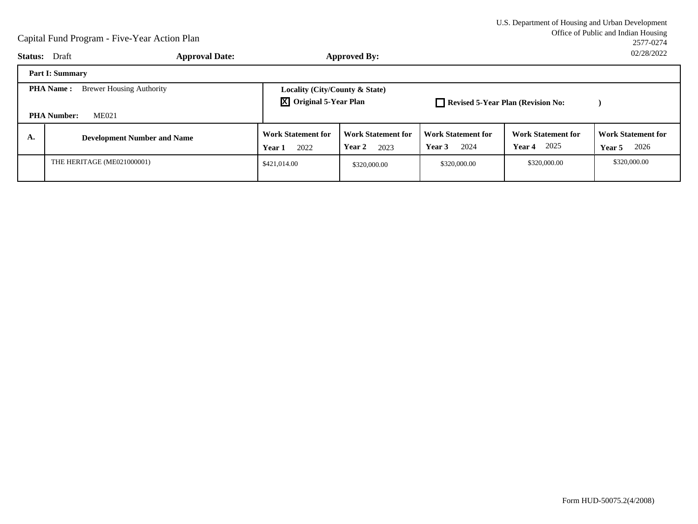|              | U.S. Department of Housing and Urban Development |
|--------------|--------------------------------------------------|
|              | Office of Public and Indian Housing              |
|              | 2577-0274                                        |
| $\mathbf{r}$ | 02/28/2022                                       |

|                                                                                           | <b>Status:</b> Draft               | <b>Approval Date:</b>                                                       |                                             | <b>Approved By:</b>                         |                                             |                                                    | 02/28/2022                                  |
|-------------------------------------------------------------------------------------------|------------------------------------|-----------------------------------------------------------------------------|---------------------------------------------|---------------------------------------------|---------------------------------------------|----------------------------------------------------|---------------------------------------------|
|                                                                                           | <b>Part I: Summary</b>             |                                                                             |                                             |                                             |                                             |                                                    |                                             |
| <b>Brewer Housing Authority</b><br><b>PHA Name:</b><br><b>ME021</b><br><b>PHA Number:</b> |                                    | Locality (City/County & State)<br>$\boxed{\mathsf{X}}$ Original 5-Year Plan |                                             | Revised 5-Year Plan (Revision No:           |                                             |                                                    |                                             |
| А.                                                                                        | <b>Development Number and Name</b> |                                                                             | <b>Work Statement for</b><br>2022<br>Year 1 | <b>Work Statement for</b><br>Year 2<br>2023 | <b>Work Statement for</b><br>2024<br>Year 3 | <b>Work Statement for</b><br>2025<br><b>Year 4</b> | <b>Work Statement for</b><br>2026<br>Year 5 |
|                                                                                           | THE HERITAGE (ME021000001)         |                                                                             | \$421.014.00                                | \$320,000.00                                | \$320,000.00                                | \$320,000.00                                       | \$320,000.00                                |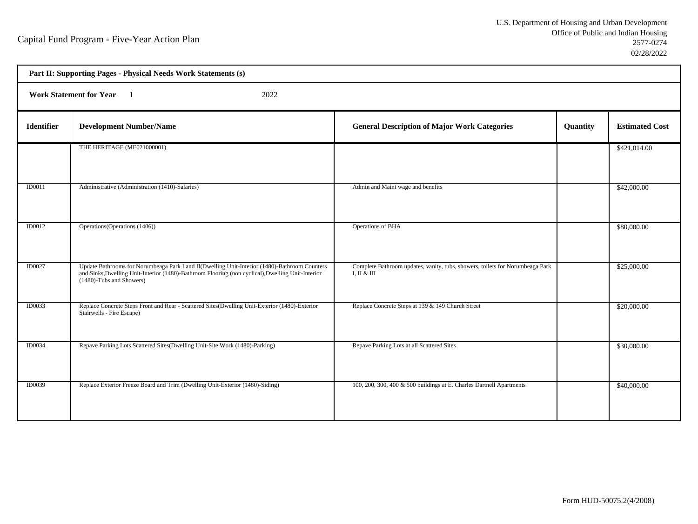h

| Part II: Supporting Pages - Physical Needs Work Statements (s) |                                                                                                                                                                                                                                |                                                                                              |          |                       |  |  |
|----------------------------------------------------------------|--------------------------------------------------------------------------------------------------------------------------------------------------------------------------------------------------------------------------------|----------------------------------------------------------------------------------------------|----------|-----------------------|--|--|
|                                                                | Work Statement for Year 1<br>2022                                                                                                                                                                                              |                                                                                              |          |                       |  |  |
| <b>Identifier</b>                                              | <b>Development Number/Name</b>                                                                                                                                                                                                 | <b>General Description of Major Work Categories</b>                                          | Quantity | <b>Estimated Cost</b> |  |  |
|                                                                | THE HERITAGE (ME021000001)                                                                                                                                                                                                     |                                                                                              |          | \$421,014.00          |  |  |
| ID0011                                                         | Administrative (Administration (1410)-Salaries)                                                                                                                                                                                | Admin and Maint wage and benefits                                                            |          | \$42,000.00           |  |  |
| <b>ID0012</b>                                                  | Operations (Operations (1406))                                                                                                                                                                                                 | Operations of BHA                                                                            |          | \$80,000.00           |  |  |
| <b>ID0027</b>                                                  | Update Bathrooms for Norumbeaga Park I and II(Dwelling Unit-Interior (1480)-Bathroom Counters<br>and Sinks, Dwelling Unit-Interior (1480)-Bathroom Flooring (non cyclical), Dwelling Unit-Interior<br>(1480)-Tubs and Showers) | Complete Bathroom updates, vanity, tubs, showers, toilets for Norumbeaga Park<br>I, II & III |          | \$25,000.00           |  |  |
| <b>ID0033</b>                                                  | Replace Concrete Steps Front and Rear - Scattered Sites(Dwelling Unit-Exterior (1480)-Exterior<br>Stairwells - Fire Escape)                                                                                                    | Replace Concrete Steps at 139 & 149 Church Street                                            |          | \$20,000.00           |  |  |
| <b>ID0034</b>                                                  | Repave Parking Lots Scattered Sites(Dwelling Unit-Site Work (1480)-Parking)                                                                                                                                                    | Repave Parking Lots at all Scattered Sites                                                   |          | \$30,000.00           |  |  |
| ID0039                                                         | Replace Exterior Freeze Board and Trim (Dwelling Unit-Exterior (1480)-Siding)                                                                                                                                                  | 100, 200, 300, 400 & 500 buildings at E. Charles Dartnell Apartments                         |          | \$40,000.00           |  |  |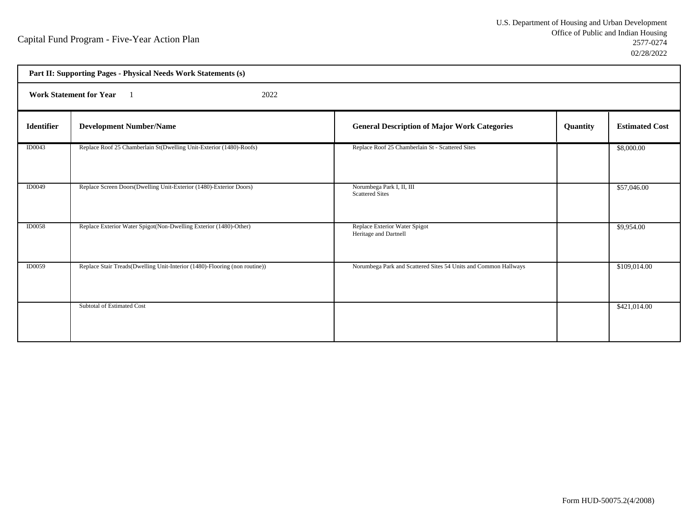|                   | Part II: Supporting Pages - Physical Needs Work Statements (s)             |                                                                 |          |                       |  |  |
|-------------------|----------------------------------------------------------------------------|-----------------------------------------------------------------|----------|-----------------------|--|--|
|                   | <b>Work Statement for Year</b><br>2022                                     |                                                                 |          |                       |  |  |
| <b>Identifier</b> | <b>Development Number/Name</b>                                             | <b>General Description of Major Work Categories</b>             | Quantity | <b>Estimated Cost</b> |  |  |
| ID0043            | Replace Roof 25 Chamberlain St(Dwelling Unit-Exterior (1480)-Roofs)        | Replace Roof 25 Chamberlain St - Scattered Sites                |          | \$8,000.00            |  |  |
| <b>ID0049</b>     | Replace Screen Doors(Dwelling Unit-Exterior (1480)-Exterior Doors)         | Norumbega Park I, II, III<br><b>Scattered Sites</b>             |          | \$57,046.00           |  |  |
| <b>ID0058</b>     | Replace Exterior Water Spigot(Non-Dwelling Exterior (1480)-Other)          | Replace Exterior Water Spigot<br>Heritage and Dartnell          |          | \$9,954.00            |  |  |
| <b>ID0059</b>     | Replace Stair Treads(Dwelling Unit-Interior (1480)-Flooring (non routine)) | Norumbega Park and Scattered Sites 54 Units and Common Hallways |          | \$109,014.00          |  |  |
|                   | Subtotal of Estimated Cost                                                 |                                                                 |          | \$421,014.00          |  |  |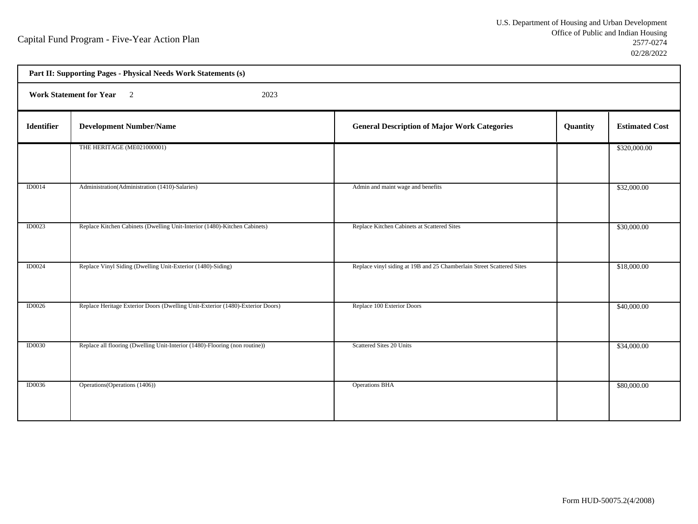| Part II: Supporting Pages - Physical Needs Work Statements (s) |                                                                                |                                                                       |          |                       |  |
|----------------------------------------------------------------|--------------------------------------------------------------------------------|-----------------------------------------------------------------------|----------|-----------------------|--|
|                                                                | Work Statement for Year 2<br>2023                                              |                                                                       |          |                       |  |
| Identifier                                                     | <b>Development Number/Name</b>                                                 | <b>General Description of Major Work Categories</b>                   | Quantity | <b>Estimated Cost</b> |  |
|                                                                | THE HERITAGE (ME021000001)                                                     |                                                                       |          | \$320,000.00          |  |
| <b>ID0014</b>                                                  | Administration (Administration (1410)-Salaries)                                | Admin and maint wage and benefits                                     |          | \$32,000.00           |  |
| ID0023                                                         | Replace Kitchen Cabinets (Dwelling Unit-Interior (1480)-Kitchen Cabinets)      | Replace Kitchen Cabinets at Scattered Sites                           |          | \$30,000.00           |  |
| ID0024                                                         | Replace Vinyl Siding (Dwelling Unit-Exterior (1480)-Siding)                    | Replace vinyl siding at 19B and 25 Chamberlain Street Scattered Sites |          | \$18,000.00           |  |
| <b>ID0026</b>                                                  | Replace Heritage Exterior Doors (Dwelling Unit-Exterior (1480)-Exterior Doors) | Replace 100 Exterior Doors                                            |          | \$40,000.00           |  |
| <b>ID0030</b>                                                  | Replace all flooring (Dwelling Unit-Interior (1480)-Flooring (non routine))    | <b>Scattered Sites 20 Units</b>                                       |          | \$34,000.00           |  |
| <b>ID0036</b>                                                  | Operations (Operations (1406))                                                 | <b>Operations BHA</b>                                                 |          | \$80,000.00           |  |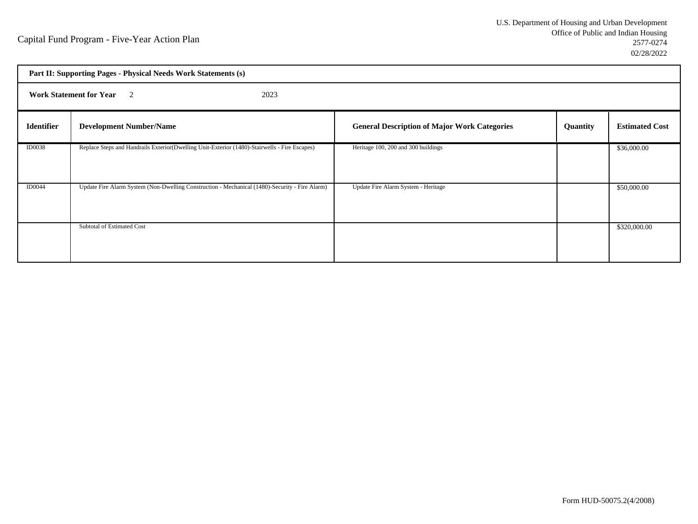|                   | Part II: Supporting Pages - Physical Needs Work Statements (s)                                 |                                                     |          |                       |  |  |
|-------------------|------------------------------------------------------------------------------------------------|-----------------------------------------------------|----------|-----------------------|--|--|
|                   | <b>Work Statement for Year</b> 2<br>2023                                                       |                                                     |          |                       |  |  |
| <b>Identifier</b> | <b>Development Number/Name</b>                                                                 | <b>General Description of Major Work Categories</b> | Quantity | <b>Estimated Cost</b> |  |  |
| <b>ID0038</b>     | Replace Steps and Handrails Exterior(Dwelling Unit-Exterior (1480)-Stairwells - Fire Escapes)  | Heritage 100, 200 and 300 buildings                 |          | \$36,000.00           |  |  |
| <b>ID0044</b>     | Update Fire Alarm System (Non-Dwelling Construction - Mechanical (1480)-Security - Fire Alarm) | Update Fire Alarm System - Heritage                 |          | \$50,000.00           |  |  |
|                   | Subtotal of Estimated Cost                                                                     |                                                     |          | \$320,000.00          |  |  |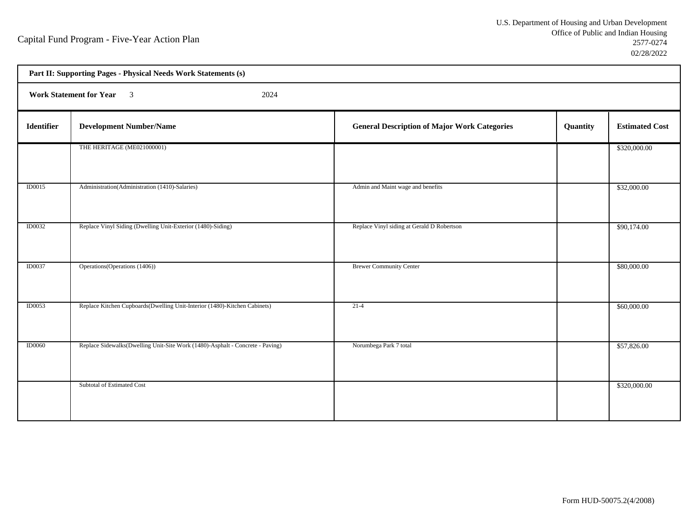h

| Part II: Supporting Pages - Physical Needs Work Statements (s) |                                                                               |                                                     |          |                       |  |  |
|----------------------------------------------------------------|-------------------------------------------------------------------------------|-----------------------------------------------------|----------|-----------------------|--|--|
|                                                                | Work Statement for Year 3<br>2024                                             |                                                     |          |                       |  |  |
| <b>Identifier</b>                                              | <b>Development Number/Name</b>                                                | <b>General Description of Major Work Categories</b> | Quantity | <b>Estimated Cost</b> |  |  |
|                                                                | THE HERITAGE (ME021000001)                                                    |                                                     |          | \$320,000.00          |  |  |
| ID0015                                                         | Administration(Administration (1410)-Salaries)                                | Admin and Maint wage and benefits                   |          | \$32,000.00           |  |  |
| <b>ID0032</b>                                                  | Replace Vinyl Siding (Dwelling Unit-Exterior (1480)-Siding)                   | Replace Vinyl siding at Gerald D Robertson          |          | \$90,174.00           |  |  |
| <b>ID0037</b>                                                  | Operations (Operations (1406))                                                | <b>Brewer Community Center</b>                      |          | \$80,000.00           |  |  |
| ID0053                                                         | Replace Kitchen Cupboards (Dwelling Unit-Interior (1480)-Kitchen Cabinets)    | $21-4$                                              |          | \$60,000.00           |  |  |
| <b>ID0060</b>                                                  | Replace Sidewalks(Dwelling Unit-Site Work (1480)-Asphalt - Concrete - Paving) | Norumbega Park 7 total                              |          | \$57,826.00           |  |  |
|                                                                | Subtotal of Estimated Cost                                                    |                                                     |          | \$320,000.00          |  |  |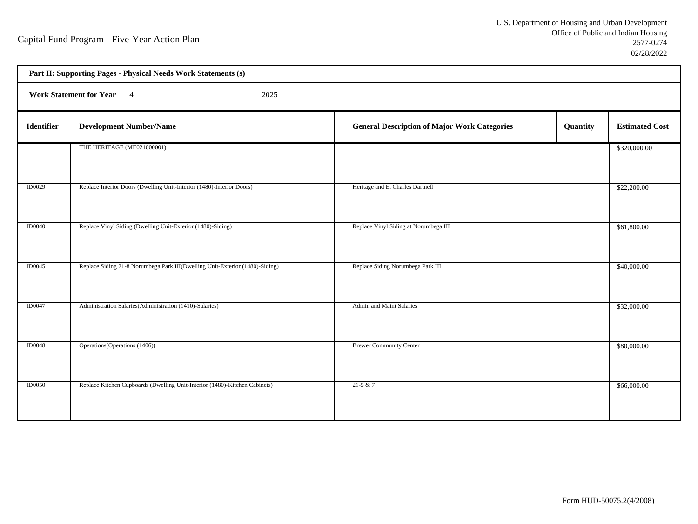h

|                   | Part II: Supporting Pages - Physical Needs Work Statements (s)               |                                                     |          |                       |  |  |
|-------------------|------------------------------------------------------------------------------|-----------------------------------------------------|----------|-----------------------|--|--|
|                   | Work Statement for Year 4<br>2025                                            |                                                     |          |                       |  |  |
| <b>Identifier</b> | <b>Development Number/Name</b>                                               | <b>General Description of Major Work Categories</b> | Quantity | <b>Estimated Cost</b> |  |  |
|                   | THE HERITAGE (ME021000001)                                                   |                                                     |          | \$320,000.00          |  |  |
| <b>ID0029</b>     | Replace Interior Doors (Dwelling Unit-Interior (1480)-Interior Doors)        | Heritage and E. Charles Dartnell                    |          | \$22,200.00           |  |  |
| ID0040            | Replace Vinyl Siding (Dwelling Unit-Exterior (1480)-Siding)                  | Replace Vinyl Siding at Norumbega III               |          | \$61,800.00           |  |  |
| <b>ID0045</b>     | Replace Siding 21-8 Norumbega Park III(Dwelling Unit-Exterior (1480)-Siding) | Replace Siding Norumbega Park III                   |          | \$40,000.00           |  |  |
| <b>ID0047</b>     | Administration Salaries (Administration (1410)-Salaries)                     | <b>Admin and Maint Salaries</b>                     |          | \$32,000.00           |  |  |
| <b>ID0048</b>     | Operations (Operations (1406))                                               | <b>Brewer Community Center</b>                      |          | \$80,000.00           |  |  |
| <b>ID0050</b>     | Replace Kitchen Cupboards (Dwelling Unit-Interior (1480)-Kitchen Cabinets)   | $21-5 & 7$                                          |          | \$66,000.00           |  |  |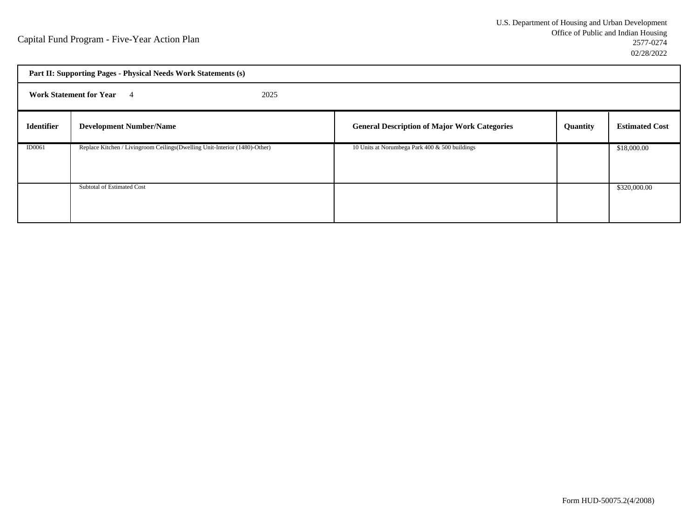|                   | Part II: Supporting Pages - Physical Needs Work Statements (s)              |                                                     |                 |                       |  |  |
|-------------------|-----------------------------------------------------------------------------|-----------------------------------------------------|-----------------|-----------------------|--|--|
|                   | <b>Work Statement for Year</b> 4<br>2025                                    |                                                     |                 |                       |  |  |
| <b>Identifier</b> | <b>Development Number/Name</b>                                              | <b>General Description of Major Work Categories</b> | <b>Quantity</b> | <b>Estimated Cost</b> |  |  |
| ID0061            | Replace Kitchen / Livingroom Ceilings (Dwelling Unit-Interior (1480)-Other) | 10 Units at Norumbega Park 400 & 500 buildings      |                 | \$18,000.00           |  |  |
|                   | Subtotal of Estimated Cost                                                  |                                                     |                 | \$320,000.00          |  |  |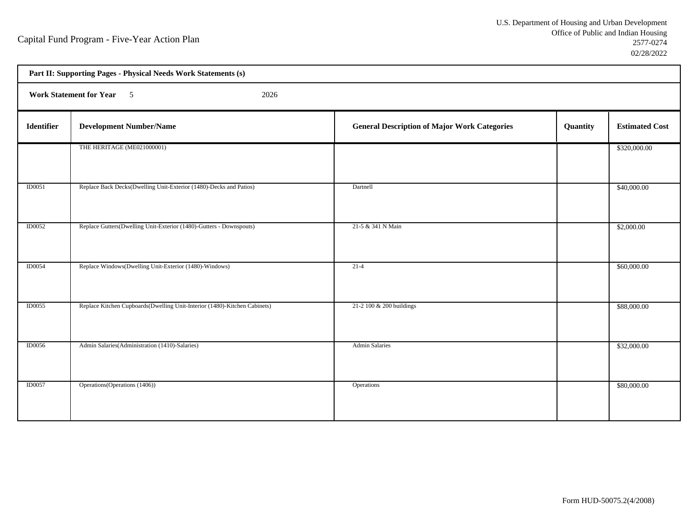| Part II: Supporting Pages - Physical Needs Work Statements (s) |                                                                            |                                                     |          |                       |  |  |
|----------------------------------------------------------------|----------------------------------------------------------------------------|-----------------------------------------------------|----------|-----------------------|--|--|
|                                                                | Work Statement for Year 5<br>2026                                          |                                                     |          |                       |  |  |
| <b>Identifier</b>                                              | <b>Development Number/Name</b>                                             | <b>General Description of Major Work Categories</b> | Quantity | <b>Estimated Cost</b> |  |  |
|                                                                | THE HERITAGE (ME021000001)                                                 |                                                     |          | \$320,000.00          |  |  |
| ID0051                                                         | Replace Back Decks(Dwelling Unit-Exterior (1480)-Decks and Patios)         | Dartnell                                            |          | \$40,000.00           |  |  |
| <b>ID0052</b>                                                  | Replace Gutters(Dwelling Unit-Exterior (1480)-Gutters - Downspouts)        | 21-5 & 341 N Main                                   |          | \$2,000.00            |  |  |
| <b>ID0054</b>                                                  | Replace Windows(Dwelling Unit-Exterior (1480)-Windows)                     | $21-4$                                              |          | \$60,000.00           |  |  |
| ID0055                                                         | Replace Kitchen Cupboards (Dwelling Unit-Interior (1480)-Kitchen Cabinets) | 21-2 100 & 200 buildings                            |          | \$88,000.00           |  |  |
| <b>ID0056</b>                                                  | Admin Salaries (Administration (1410)-Salaries)                            | <b>Admin Salaries</b>                               |          | \$32,000.00           |  |  |
| ID0057                                                         | Operations (Operations (1406))                                             | Operations                                          |          | \$80,000.00           |  |  |